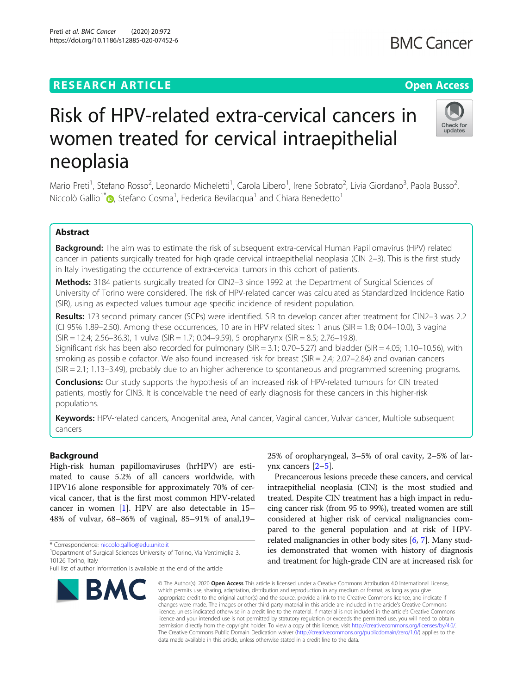# **RESEARCH ARTICLE Example 2014 12:30 The Contract of Contract ACCESS**

Preti et al. BMC Cancer (2020) 20:972 https://doi.org/10.1186/s12885-020-07452-6

# Risk of HPV-related extra-cervical cancers in women treated for cervical intraepithelial neoplasia

Mario Preti<sup>1</sup>, Stefano Rosso<sup>2</sup>, Leonardo Micheletti<sup>1</sup>, Carola Libero<sup>1</sup>, Irene Sobrato<sup>2</sup>, Livia Giordano<sup>3</sup>, Paola Busso<sup>2</sup> , Niccolò Gallio<sup>1\*</sup> D[,](http://orcid.org/0000-0002-3041-1201) Stefano Cosma<sup>1</sup>, Federica Bevilacqua<sup>1</sup> and Chiara Benedetto<sup>1</sup>

### Abstract

Background: The aim was to estimate the risk of subsequent extra-cervical Human Papillomavirus (HPV) related cancer in patients surgically treated for high grade cervical intraepithelial neoplasia (CIN 2–3). This is the first study in Italy investigating the occurrence of extra-cervical tumors in this cohort of patients.

Methods: 3184 patients surgically treated for CIN2-3 since 1992 at the Department of Surgical Sciences of University of Torino were considered. The risk of HPV-related cancer was calculated as Standardized Incidence Ratio (SIR), using as expected values tumour age specific incidence of resident population.

Results: 173 second primary cancer (SCPs) were identified. SIR to develop cancer after treatment for CIN2–3 was 2.2 (CI 95% 1.89–2.50). Among these occurrences, 10 are in HPV related sites: 1 anus (SIR = 1.8; 0.04–10.0), 3 vagina (SIR = 12.4; 2.56–36.3), 1 vulva (SIR = 1.7; 0.04–9.59), 5 oropharynx (SIR = 8.5; 2.76–19.8).

Significant risk has been also recorded for pulmonary (SIR = 3.1; 0.70–5.27) and bladder (SIR = 4.05; 1.10–10.56), with smoking as possible cofactor. We also found increased risk for breast (SIR = 2.4; 2.07–2.84) and ovarian cancers (SIR = 2.1; 1.13–3.49), probably due to an higher adherence to spontaneous and programmed screening programs.

**Conclusions:** Our study supports the hypothesis of an increased risk of HPV-related tumours for CIN treated patients, mostly for CIN3. It is conceivable the need of early diagnosis for these cancers in this higher-risk populations.

Keywords: HPV-related cancers, Anogenital area, Anal cancer, Vaginal cancer, Vulvar cancer, Multiple subsequent cancers

#### Background

High-risk human papillomaviruses (hrHPV) are estimated to cause 5.2% of all cancers worldwide, with HPV16 alone responsible for approximately 70% of cervical cancer, that is the first most common HPV-related cancer in women [[1\]](#page-5-0). HPV are also detectable in 15– 48% of vulvar, 68–86% of vaginal, 85–91% of anal,19–

<sup>1</sup> Department of Surgical Sciences University of Torino, Via Ventimiglia 3, 10126 Torino, Italy

## 25% of oropharyngeal, 3–5% of oral cavity, 2–5% of larynx cancers [[2](#page-5-0)–[5\]](#page-5-0).

Precancerous lesions precede these cancers, and cervical intraepithelial neoplasia (CIN) is the most studied and treated. Despite CIN treatment has a high impact in reducing cancer risk (from 95 to 99%), treated women are still considered at higher risk of cervical malignancies compared to the general population and at risk of HPVrelated malignancies in other body sites [[6](#page-5-0), [7](#page-5-0)]. Many studies demonstrated that women with history of diagnosis and treatment for high-grade CIN are at increased risk for

© The Author(s), 2020 **Open Access** This article is licensed under a Creative Commons Attribution 4.0 International License, which permits use, sharing, adaptation, distribution and reproduction in any medium or format, as long as you give appropriate credit to the original author(s) and the source, provide a link to the Creative Commons licence, and indicate if changes were made. The images or other third party material in this article are included in the article's Creative Commons licence, unless indicated otherwise in a credit line to the material. If material is not included in the article's Creative Commons licence and your intended use is not permitted by statutory regulation or exceeds the permitted use, you will need to obtain permission directly from the copyright holder. To view a copy of this licence, visit [http://creativecommons.org/licenses/by/4.0/.](http://creativecommons.org/licenses/by/4.0/) The Creative Commons Public Domain Dedication waiver [\(http://creativecommons.org/publicdomain/zero/1.0/](http://creativecommons.org/publicdomain/zero/1.0/)) applies to the data made available in this article, unless otherwise stated in a credit line to the data.







Full list of author information is available at the end of the article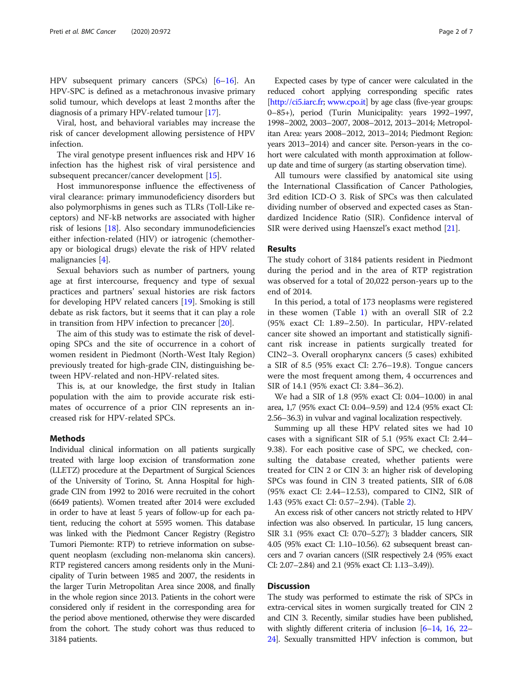HPV subsequent primary cancers (SPCs) [\[6](#page-5-0)–[16](#page-5-0)]. An HPV-SPC is defined as a metachronous invasive primary solid tumour, which develops at least 2 months after the diagnosis of a primary HPV-related tumour [\[17](#page-5-0)].

Viral, host, and behavioral variables may increase the risk of cancer development allowing persistence of HPV infection.

The viral genotype present influences risk and HPV 16 infection has the highest risk of viral persistence and subsequent precancer/cancer development [\[15](#page-5-0)].

Host immunoresponse influence the effectiveness of viral clearance: primary immunodeficiency disorders but also polymorphisms in genes such as TLRs (Toll-Like receptors) and NF-kB networks are associated with higher risk of lesions [\[18](#page-5-0)]. Also secondary immunodeficiencies either infection-related (HIV) or iatrogenic (chemotherapy or biological drugs) elevate the risk of HPV related malignancies [[4](#page-5-0)].

Sexual behaviors such as number of partners, young age at first intercourse, frequency and type of sexual practices and partners' sexual histories are risk factors for developing HPV related cancers [\[19](#page-5-0)]. Smoking is still debate as risk factors, but it seems that it can play a role in transition from HPV infection to precancer [[20](#page-5-0)].

The aim of this study was to estimate the risk of developing SPCs and the site of occurrence in a cohort of women resident in Piedmont (North-West Italy Region) previously treated for high-grade CIN, distinguishing between HPV-related and non-HPV-related sites.

This is, at our knowledge, the first study in Italian population with the aim to provide accurate risk estimates of occurrence of a prior CIN represents an increased risk for HPV-related SPCs.

#### Methods

Individual clinical information on all patients surgically treated with large loop excision of transformation zone (LLETZ) procedure at the Department of Surgical Sciences of the University of Torino, St. Anna Hospital for highgrade CIN from 1992 to 2016 were recruited in the cohort (6649 patients). Women treated after 2014 were excluded in order to have at least 5 years of follow-up for each patient, reducing the cohort at 5595 women. This database was linked with the Piedmont Cancer Registry (Registro Tumori Piemonte: RTP) to retrieve information on subsequent neoplasm (excluding non-melanoma skin cancers). RTP registered cancers among residents only in the Municipality of Turin between 1985 and 2007, the residents in the larger Turin Metropolitan Area since 2008, and finally in the whole region since 2013. Patients in the cohort were considered only if resident in the corresponding area for the period above mentioned, otherwise they were discarded from the cohort. The study cohort was thus reduced to 3184 patients.

Expected cases by type of cancer were calculated in the reduced cohort applying corresponding specific rates [<http://ci5.iarc.fr>; [www.cpo.it](http://www.cpo.it)] by age class (five-year groups: 0–85+), period (Turin Municipality: years 1992–1997, 1998–2002, 2003–2007, 2008–2012, 2013–2014; Metropolitan Area: years 2008–2012, 2013–2014; Piedmont Region: years 2013–2014) and cancer site. Person-years in the cohort were calculated with month approximation at followup date and time of surgery (as starting observation time).

All tumours were classified by anatomical site using the International Classification of Cancer Pathologies, 3rd edition ICD-O 3. Risk of SPCs was then calculated dividing number of observed and expected cases as Standardized Incidence Ratio (SIR). Confidence interval of SIR were derived using Haenszel's exact method [[21\]](#page-5-0).

#### Results

The study cohort of 3184 patients resident in Piedmont during the period and in the area of RTP registration was observed for a total of 20,022 person-years up to the end of 2014.

In this period, a total of 173 neoplasms were registered in these women (Table [1](#page-2-0)) with an overall SIR of 2.2 (95% exact CI: 1.89–2.50). In particular, HPV-related cancer site showed an important and statistically significant risk increase in patients surgically treated for CIN2–3. Overall oropharynx cancers (5 cases) exhibited a SIR of 8.5 (95% exact CI: 2.76–19.8). Tongue cancers were the most frequent among them, 4 occurrences and SIR of 14.1 (95% exact CI: 3.84–36.2).

We had a SIR of 1.8 (95% exact CI: 0.04–10.00) in anal area, 1,7 (95% exact CI: 0.04–9.59) and 12.4 (95% exact CI: 2.56–36.3) in vulvar and vaginal localization respectively.

Summing up all these HPV related sites we had 10 cases with a significant SIR of 5.1 (95% exact CI: 2.44– 9.38). For each positive case of SPC, we checked, consulting the database created, whether patients were treated for CIN 2 or CIN 3: an higher risk of developing SPCs was found in CIN 3 treated patients, SIR of 6.08 (95% exact CI: 2.44–12.53), compared to CIN2, SIR of 1.43 (95% exact CI: 0.57–2.94). (Table [2](#page-2-0)).

An excess risk of other cancers not strictly related to HPV infection was also observed. In particular, 15 lung cancers, SIR 3.1 (95% exact CI: 0.70–5.27); 3 bladder cancers, SIR 4.05 (95% exact CI: 1.10–10.56). 62 subsequent breast cancers and 7 ovarian cancers ((SIR respectively 2.4 (95% exact CI: 2.07–2.84) and 2.1 (95% exact CI: 1.13–3.49)).

#### **Discussion**

The study was performed to estimate the risk of SPCs in extra-cervical sites in women surgically treated for CIN 2 and CIN 3. Recently, similar studies have been published, with slightly different criteria of inclusion [\[6](#page-5-0)–[14](#page-5-0), [16,](#page-5-0) [22](#page-5-0)– [24](#page-5-0)]. Sexually transmitted HPV infection is common, but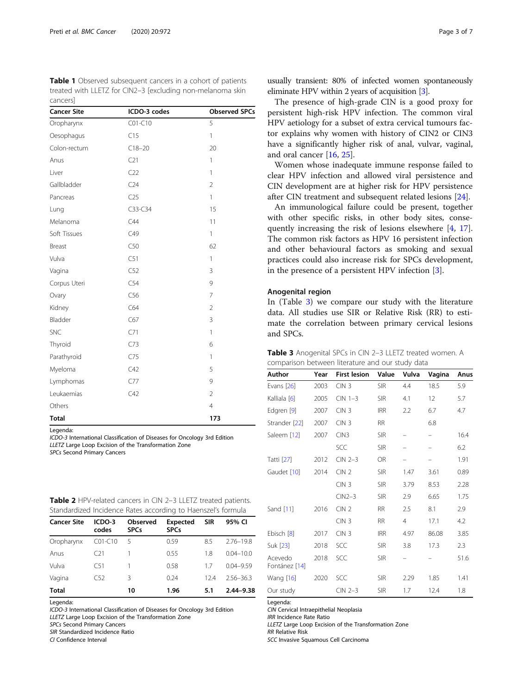<span id="page-2-0"></span>Table 1 Observed subsequent cancers in a cohort of patients treated with LLETZ for CIN2–3 [excluding non-melanoma skin cancers]

| <b>Cancer Site</b> | ICDO-3 codes    | <b>Observed SPCs</b> |
|--------------------|-----------------|----------------------|
| Oropharynx         | C01-C10         | 5                    |
| Oesophagus         | C15             | $\mathbf{1}$         |
| Colon-rectum       | $C18 - 20$      | 20                   |
| Anus               | C21             | 1                    |
| Liver              | C22             | 1                    |
| Gallbladder        | C <sub>24</sub> | $\overline{2}$       |
| Pancreas           | C25             | $\mathbf{1}$         |
| Lung               | C33-C34         | 15                   |
| Melanoma           | C44             | 11                   |
| Soft Tissues       | C49             | $\mathbf{1}$         |
| <b>Breast</b>      | C50             | 62                   |
| Vulva              | C51             | $\mathbf{1}$         |
| Vagina             | C52             | 3                    |
| Corpus Uteri       | C54             | 9                    |
| Ovary              | C56             | $\overline{7}$       |
| Kidney             | C64             | $\overline{2}$       |
| Bladder            | C67             | 3                    |
| <b>SNC</b>         | C71             | $\mathbf{1}$         |
| Thyroid            | C73             | 6                    |
| Parathyroid        | C75             | 1                    |
| Myeloma            | C42             | 5                    |
| Lymphomas          | C77             | 9                    |
| Leukaemias         | C42             | $\overline{2}$       |
| Others             |                 | $\overline{4}$       |
| <b>Total</b>       |                 | 173                  |

Legenda: ICDO-3 International Classification of Diseases for Oncology 3rd Edition LLETZ Large Loop Excision of the Transformation Zone SPCs Second Primary Cancers

| <b>Table 2</b> HPV-related cancers in CIN 2-3 LLETZ treated patients. |  |  |  |
|-----------------------------------------------------------------------|--|--|--|
| Standardized Incidence Rates according to Haenszel's formula          |  |  |  |

| <b>Cancer Site</b> | ICDO-3<br>codes | Observed<br><b>SPCs</b> | <b>Expected</b><br><b>SPCs</b> | <b>SIR</b> | 95% CI        |
|--------------------|-----------------|-------------------------|--------------------------------|------------|---------------|
| Oropharynx         | $CO1-C10$       | 5                       | 0.59                           | 8.5        | 2.76-19.8     |
| Anus               | C21             |                         | 0.55                           | 1.8        | $0.04 - 10.0$ |
| Vulva              | C51             |                         | 0.58                           | 17         | $0.04 - 9.59$ |
| Vagina             | C <sub>52</sub> | 3                       | 0.24                           | 124        | $2.56 - 36.3$ |
| <b>Total</b>       |                 | 10                      | 1.96                           | 5.1        | $2.44 - 9.38$ |

Legenda:

ICDO-3 International Classification of Diseases for Oncology 3rd Edition LLETZ Large Loop Excision of the Transformation Zone SPCs Second Primary Cancers SIR Standardized Incidence Ratio

CI Confidence Interval

usually transient: 80% of infected women spontaneously eliminate HPV within 2 years of acquisition [\[3\]](#page-5-0).

The presence of high-grade CIN is a good proxy for persistent high-risk HPV infection. The common viral HPV aetiology for a subset of extra cervical tumours factor explains why women with history of CIN2 or CIN3 have a significantly higher risk of anal, vulvar, vaginal, and oral cancer [\[16,](#page-5-0) [25\]](#page-5-0).

Women whose inadequate immune response failed to clear HPV infection and allowed viral persistence and CIN development are at higher risk for HPV persistence after CIN treatment and subsequent related lesions [[24\]](#page-5-0).

An immunological failure could be present, together with other specific risks, in other body sites, consequently increasing the risk of lesions elsewhere [\[4](#page-5-0), [17](#page-5-0)]. The common risk factors as HPV 16 persistent infection and other behavioural factors as smoking and sexual practices could also increase risk for SPCs development, in the presence of a persistent HPV infection [[3\]](#page-5-0).

#### Anogenital region

In (Table 3) we compare our study with the literature data. All studies use SIR or Relative Risk (RR) to estimate the correlation between primary cervical lesions and SPCs.

| <b>Table 3</b> Anogenital SPCs in CIN 2-3 LLETZ treated women. A |  |
|------------------------------------------------------------------|--|
| comparison between literature and our study data                 |  |

| Author                   | Year | <b>First lesion</b> | Value      | Vulva | Vagina | Anus |
|--------------------------|------|---------------------|------------|-------|--------|------|
| Evans [26]               | 2003 | CIN <sub>3</sub>    | <b>SIR</b> | 4.4   | 18.5   | 5.9  |
| Kalliala [6]             | 2005 | $CIN 1-3$           | <b>SIR</b> | 4.1   | 12     | 5.7  |
| Edgren [9]               | 2007 | CIN <sub>3</sub>    | <b>IRR</b> | 2.2   | 6.7    | 4.7  |
| Strander [22]            | 2007 | CIN <sub>3</sub>    | <b>RR</b>  |       | 6.8    |      |
| Saleem [12]              | 2007 | CIN3                | <b>SIR</b> |       | -      | 16.4 |
|                          |      | SCC                 | <b>SIR</b> |       |        | 6.2  |
| Tatti [27]               | 2012 | $CIN 2-3$           | OR         |       |        | 1.91 |
| Gaudet [10]              | 2014 | CIN <sub>2</sub>    | <b>SIR</b> | 1.47  | 3.61   | 0.89 |
|                          |      | CIN <sub>3</sub>    | <b>SIR</b> | 3.79  | 8.53   | 2.28 |
|                          |      | $CIN2-3$            | <b>SIR</b> | 2.9   | 6.65   | 1.75 |
| Sand [11]                | 2016 | CIN <sub>2</sub>    | <b>RR</b>  | 2.5   | 8.1    | 2.9  |
|                          |      | CIN <sub>3</sub>    | <b>RR</b>  | 4     | 17.1   | 4.2  |
| Ebisch [8]               | 2017 | CIN <sub>3</sub>    | <b>IRR</b> | 4.97  | 86.08  | 3.85 |
| Suk [23]                 | 2018 | SCC                 | <b>SIR</b> | 3.8   | 17.3   | 2.3  |
| Acevedo<br>Fontánez [14] | 2018 | SCC                 | <b>SIR</b> | -     |        | 51.6 |
| Wang [16]                | 2020 | SCC                 | <b>SIR</b> | 2.29  | 1.85   | 1.41 |
| Our study                |      | $CIN 2-3$           | <b>SIR</b> | 1.7   | 12.4   | 1.8  |

Legenda:

CIN Cervical Intraepithelial Neoplasia

IRR Incidence Rate Ratio

LLETZ Large Loop Excision of the Transformation Zone

RR Relative Risk

SCC Invasive Squamous Cell Carcinoma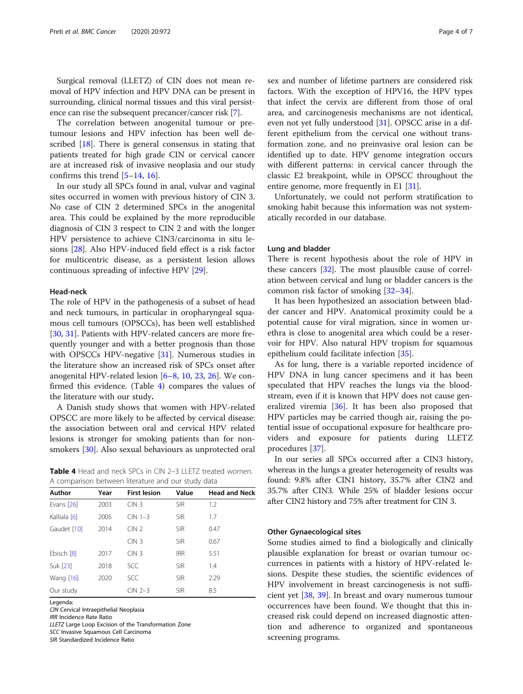Surgical removal (LLETZ) of CIN does not mean removal of HPV infection and HPV DNA can be present in surrounding, clinical normal tissues and this viral persistence can rise the subsequent precancer/cancer risk [[7](#page-5-0)].

The correlation between anogenital tumour or pretumour lesions and HPV infection has been well de-scribed [\[18](#page-5-0)]. There is general consensus in stating that patients treated for high grade CIN or cervical cancer are at increased risk of invasive neoplasia and our study confirms this trend [\[5](#page-5-0)–[14](#page-5-0), [16\]](#page-5-0).

In our study all SPCs found in anal, vulvar and vaginal sites occurred in women with previous history of CIN 3. No case of CIN 2 determined SPCs in the anogenital area. This could be explained by the more reproducible diagnosis of CIN 3 respect to CIN 2 and with the longer HPV persistence to achieve CIN3/carcinoma in situ lesions [[28\]](#page-5-0). Also HPV-induced field effect is a risk factor for multicentric disease, as a persistent lesion allows continuous spreading of infective HPV [[29](#page-5-0)].

#### Head-neck

The role of HPV in the pathogenesis of a subset of head and neck tumours, in particular in oropharyngeal squamous cell tumours (OPSCCs), has been well established [[30,](#page-5-0) [31\]](#page-5-0). Patients with HPV-related cancers are more frequently younger and with a better prognosis than those with OPSCCs HPV-negative [[31\]](#page-5-0). Numerous studies in the literature show an increased risk of SPCs onset after anogenital HPV-related lesion [[6](#page-5-0)–[8,](#page-5-0) [10,](#page-5-0) [23,](#page-5-0) [26\]](#page-5-0). We confirmed this evidence. (Table 4) compares the values of the literature with our study.

A Danish study shows that women with HPV-related OPSCC are more likely to be affected by cervical disease: the association between oral and cervical HPV related lesions is stronger for smoking patients than for nonsmokers [[30](#page-5-0)]. Also sexual behaviours as unprotected oral

**Table 4** Head and neck SPCs in CIN 2-3 LLETZ treated women. A comparison between literature and our study data

| Author       | Year | <b>First lesion</b> | Value      | <b>Head and Neck</b> |
|--------------|------|---------------------|------------|----------------------|
| Evans [26]   | 2003 | CIN <sub>3</sub>    | <b>SIR</b> | 1.2                  |
| Kalliala [6] | 2005 | $CIN 1-3$           | <b>SIR</b> | 1.7                  |
| Gaudet [10]  | 2014 | CIN2                | <b>SIR</b> | 0.47                 |
|              |      | CIN <sub>3</sub>    | <b>SIR</b> | 0.67                 |
| Ebisch [8]   | 2017 | CIN <sub>3</sub>    | <b>IRR</b> | 5.51                 |
| Suk [23]     | 2018 | <b>SCC</b>          | <b>SIR</b> | 1.4                  |
| Wang [16]    | 2020 | <b>SCC</b>          | <b>SIR</b> | 2.29                 |
| Our study    |      | $CIN 2-3$           | <b>SIR</b> | 8.5                  |

Legenda:

CIN Cervical Intraepithelial Neoplasia

IRR Incidence Rate Ratio

LLETZ Large Loop Excision of the Transformation Zone SCC Invasive Squamous Cell Carcinoma

SIR Standardized Incidence Ratio

sex and number of lifetime partners are considered risk factors. With the exception of HPV16, the HPV types that infect the cervix are different from those of oral area, and carcinogenesis mechanisms are not identical, even not yet fully understood [\[31](#page-5-0)]. OPSCC arise in a different epithelium from the cervical one without transformation zone, and no preinvasive oral lesion can be identified up to date. HPV genome integration occurs with different patterns: in cervical cancer through the classic E2 breakpoint, while in OPSCC throughout the entire genome, more frequently in E1 [[31\]](#page-5-0).

Unfortunately, we could not perform stratification to smoking habit because this information was not systematically recorded in our database.

#### Lung and bladder

There is recent hypothesis about the role of HPV in these cancers [[32\]](#page-5-0). The most plausible cause of correlation between cervical and lung or bladder cancers is the common risk factor of smoking [\[32](#page-5-0)–[34\]](#page-5-0).

It has been hypothesized an association between bladder cancer and HPV. Anatomical proximity could be a potential cause for viral migration, since in women urethra is close to anogenital area which could be a reservoir for HPV. Also natural HPV tropism for squamous epithelium could facilitate infection [\[35](#page-6-0)].

As for lung, there is a variable reported incidence of HPV DNA in lung cancer specimens and it has been speculated that HPV reaches the lungs via the bloodstream, even if it is known that HPV does not cause generalized viremia [[36\]](#page-6-0). It has been also proposed that HPV particles may be carried though air, raising the potential issue of occupational exposure for healthcare providers and exposure for patients during LLETZ procedures [\[37\]](#page-6-0).

In our series all SPCs occurred after a CIN3 history, whereas in the lungs a greater heterogeneity of results was found: 9.8% after CIN1 history, 35.7% after CIN2 and 35.7% after CIN3. While 25% of bladder lesions occur after CIN2 history and 75% after treatment for CIN 3.

#### Other Gynaecological sites

Some studies aimed to find a biologically and clinically plausible explanation for breast or ovarian tumour occurrences in patients with a history of HPV-related lesions. Despite these studies, the scientific evidences of HPV involvement in breast carcinogenesis is not sufficient yet [\[38](#page-6-0), [39](#page-6-0)]. In breast and ovary numerous tumour occurrences have been found. We thought that this increased risk could depend on increased diagnostic attention and adherence to organized and spontaneous screening programs.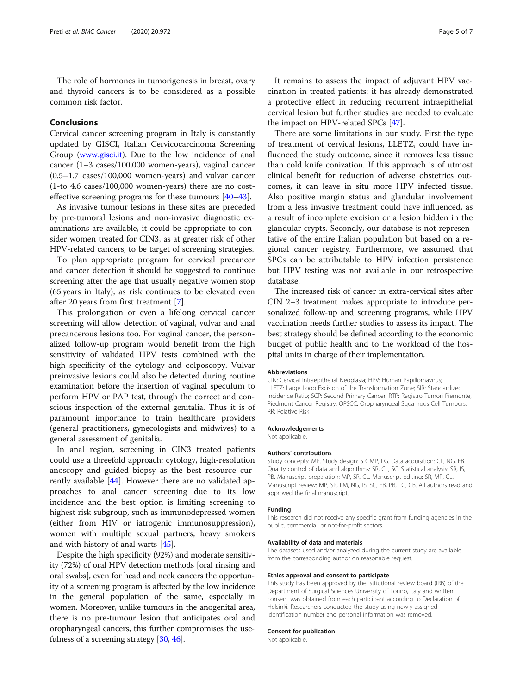The role of hormones in tumorigenesis in breast, ovary and thyroid cancers is to be considered as a possible common risk factor.

#### Conclusions

Cervical cancer screening program in Italy is constantly updated by GISCI, Italian Cervicocarcinoma Screening Group ([www.gisci.it](http://www.gisci.it)). Due to the low incidence of anal cancer (1–3 cases/100,000 women-years), vaginal cancer (0.5–1.7 cases/100,000 women-years) and vulvar cancer (1-to 4.6 cases/100,000 women-years) there are no costeffective screening programs for these tumours [[40](#page-6-0)–[43](#page-6-0)].

As invasive tumour lesions in these sites are preceded by pre-tumoral lesions and non-invasive diagnostic examinations are available, it could be appropriate to consider women treated for CIN3, as at greater risk of other HPV-related cancers, to be target of screening strategies.

To plan appropriate program for cervical precancer and cancer detection it should be suggested to continue screening after the age that usually negative women stop (65 years in Italy), as risk continues to be elevated even after 20 years from first treatment [\[7](#page-5-0)].

This prolongation or even a lifelong cervical cancer screening will allow detection of vaginal, vulvar and anal precancerous lesions too. For vaginal cancer, the personalized follow-up program would benefit from the high sensitivity of validated HPV tests combined with the high specificity of the cytology and colposcopy. Vulvar preinvasive lesions could also be detected during routine examination before the insertion of vaginal speculum to perform HPV or PAP test, through the correct and conscious inspection of the external genitalia. Thus it is of paramount importance to train healthcare providers (general practitioners, gynecologists and midwives) to a general assessment of genitalia.

In anal region, screening in CIN3 treated patients could use a threefold approach: cytology, high-resolution anoscopy and guided biopsy as the best resource currently available [\[44\]](#page-6-0). However there are no validated approaches to anal cancer screening due to its low incidence and the best option is limiting screening to highest risk subgroup, such as immunodepressed women (either from HIV or iatrogenic immunosuppression), women with multiple sexual partners, heavy smokers and with history of anal warts [\[45\]](#page-6-0).

Despite the high specificity (92%) and moderate sensitivity (72%) of oral HPV detection methods [oral rinsing and oral swabs], even for head and neck cancers the opportunity of a screening program is affected by the low incidence in the general population of the same, especially in women. Moreover, unlike tumours in the anogenital area, there is no pre-tumour lesion that anticipates oral and oropharyngeal cancers, this further compromises the usefulness of a screening strategy [[30](#page-5-0), [46\]](#page-6-0).

It remains to assess the impact of adjuvant HPV vaccination in treated patients: it has already demonstrated a protective effect in reducing recurrent intraepithelial cervical lesion but further studies are needed to evaluate the impact on HPV-related SPCs [\[47\]](#page-6-0).

There are some limitations in our study. First the type of treatment of cervical lesions, LLETZ, could have influenced the study outcome, since it removes less tissue than cold knife conization. If this approach is of utmost clinical benefit for reduction of adverse obstetrics outcomes, it can leave in situ more HPV infected tissue. Also positive margin status and glandular involvement from a less invasive treatment could have influenced, as a result of incomplete excision or a lesion hidden in the glandular crypts. Secondly, our database is not representative of the entire Italian population but based on a regional cancer registry. Furthermore, we assumed that SPCs can be attributable to HPV infection persistence but HPV testing was not available in our retrospective database.

The increased risk of cancer in extra-cervical sites after CIN 2–3 treatment makes appropriate to introduce personalized follow-up and screening programs, while HPV vaccination needs further studies to assess its impact. The best strategy should be defined according to the economic budget of public health and to the workload of the hospital units in charge of their implementation.

#### Abbreviations

CIN: Cervical Intraepithelial Neoplasia; HPV: Human Papillomavirus; LLETZ: Large Loop Excision of the Transformation Zone; SIR: Standardized Incidence Ratio; SCP: Second Primary Cancer; RTP: Registro Tumori Piemonte, Piedmont Cancer Registry; OPSCC: Oropharyngeal Squamous Cell Tumours; RR: Relative Risk

#### Acknowledgements

Not applicable.

#### Authors' contributions

Study concepts: MP. Study design: SR, MP, LG. Data acquisition: CL, NG, FB. Quality control of data and algorithms: SR, CL, SC. Statistical analysis: SR, IS, PB. Manuscript preparation: MP, SR, CL. Manuscript editing: SR, MP, CL. Manuscript review: MP, SR, LM, NG, IS, SC, FB, PB, LG, CB. All authors read and approved the final manuscript.

#### Funding

This research did not receive any specific grant from funding agencies in the public, commercial, or not-for-profit sectors.

#### Availability of data and materials

The datasets used and/or analyzed during the current study are available from the corresponding author on reasonable request.

#### Ethics approval and consent to participate

This study has been approved by the istitutional review board (IRB) of the Department of Surgical Sciences University of Torino, Italy and written consent was obtained from each participant according to Declaration of Helsinki. Researchers conducted the study using newly assigned identification number and personal information was removed.

#### Consent for publication

Not applicable.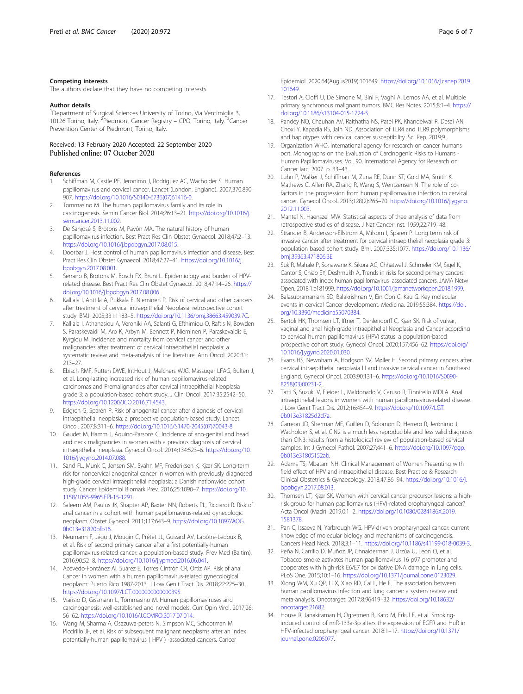#### <span id="page-5-0"></span>Competing interests

The authors declare that they have no competing interests.

#### Author details

<sup>1</sup>Department of Surgical Sciences University of Torino, Via Ventimiglia 3, 10126 Torino, Italy. <sup>2</sup>Piedmont Cancer Registry - CPO, Torino, Italy. <sup>3</sup>Cancer Prevention Center of Piedmont, Torino, Italy.

# Received: 13 February 2020 Accepted: 22 September 2020

#### References

- 1. Schiffman M, Castle PE, Jeronimo J, Rodriguez AC, Wacholder S. Human papillomavirus and cervical cancer. Lancet (London, England). 2007;370:890– 907. [https://doi.org/10.1016/S0140-6736\(07\)61416-0](https://doi.org/10.1016/S0140-6736(07)61416-0).
- 2. Tommasino M. The human papillomavirus family and its role in carcinogenesis. Semin Cancer Biol. 2014;26:13–21. [https://doi.org/10.1016/j.](https://doi.org/10.1016/j.semcancer.2013.11.002) [semcancer.2013.11.002](https://doi.org/10.1016/j.semcancer.2013.11.002).
- De Sanjosé S, Brotons M, Pavón MA. The natural history of human papillomavirus infection. Best Pract Res Clin Obstet Gynaecol. 2018;47:2–13. [https://doi.org/10.1016/j.bpobgyn.2017.08.015.](https://doi.org/10.1016/j.bpobgyn.2017.08.015)
- 4. Doorbar J. Host control of human papillomavirus infection and disease. Best Pract Res Clin Obstet Gynaecol. 2018;47:27–41. [https://doi.org/10.1016/j.](https://doi.org/10.1016/j.bpobgyn.2017.08.001) [bpobgyn.2017.08.001](https://doi.org/10.1016/j.bpobgyn.2017.08.001).
- Serrano B, Brotons M, Bosch FX, Bruni L. Epidemiology and burden of HPVrelated disease. Best Pract Res Clin Obstet Gynaecol. 2018;47:14–26. [https://](https://doi.org/10.1016/j.bpobgyn.2017.08.006) [doi.org/10.1016/j.bpobgyn.2017.08.006](https://doi.org/10.1016/j.bpobgyn.2017.08.006).
- 6. Kalliala I, Anttila A, Pukkala E, Nieminen P. Risk of cervical and other cancers after treatment of cervical intraepithelial Neoplasia: retrospective cohort study. BMJ. 2005;331:1183–5. <https://doi.org/10.1136/bmj.38663.459039.7C>.
- Kalliala I, Athanasiou A, Veroniki AA, Salanti G, Efthimiou O, Raftis N, Bowden S, Paraskevaidi M, Aro K, Arbyn M, Bennett P, Nieminen P, Paraskevaidis E, Kyrgiou M. Incidence and mortality from cervical cancer and other malignancies after treatment of cervical intraepithelial neoplasia: a systematic review and meta-analysis of the literature. Ann Oncol. 2020;31: 213–27.
- 8. Ebisch RMF, Rutten DWE, IntHout J, Melchers WJG, Massuger LFAG, Bulten J, et al. Long-lasting increased risk of human papillomavirus-related carcinomas and Premalignancies after cervical intraepithelial Neoplasia grade 3: a population-based cohort study. J Clin Oncol. 2017;35:2542–50. [https://doi.org/10.1200/JCO.2016.71.4543.](https://doi.org/10.1200/JCO.2016.71.4543)
- 9. Edgren G, Sparén P. Risk of anogenital cancer after diagnosis of cervical intraepithelial neoplasia: a prospective population-based study. Lancet Oncol. 2007;8:311–6. [https://doi.org/10.1016/S1470-2045\(07\)70043-8.](https://doi.org/10.1016/S1470-2045(07)70043-8)
- 10. Gaudet M, Hamm J, Aquino-Parsons C. Incidence of ano-genital and head and neck malignancies in women with a previous diagnosis of cervical intraepithelial neoplasia. Gynecol Oncol. 2014;134:523–6. [https://doi.org/10.](https://doi.org/10.1016/j.ygyno.2014.07.088) [1016/j.ygyno.2014.07.088](https://doi.org/10.1016/j.ygyno.2014.07.088).
- 11. Sand FL, Munk C, Jensen SM, Svahn MF, Frederiksen K, Kjær SK. Long-term risk for noncervical anogenital cancer in women with previously diagnosed high-grade cervical intraepithelial neoplasia: a Danish nationwide cohort study. Cancer Epidemiol Biomark Prev. 2016;25:1090–7. [https://doi.org/10.](https://doi.org/10.1158/1055-9965.EPI-15-1291) [1158/1055-9965.EPI-15-1291](https://doi.org/10.1158/1055-9965.EPI-15-1291).
- 12. Saleem AM, Paulus JK, Shapter AP, Baxter NN, Roberts PL, Ricciardi R. Risk of anal cancer in a cohort with human papillomavirus-related gynecologic neoplasm. Obstet Gynecol. 2011;117:643–9. [https://doi.org/10.1097/AOG.](https://doi.org/10.1097/AOG.0b013e31820bfb16) [0b013e31820bfb16](https://doi.org/10.1097/AOG.0b013e31820bfb16).
- 13. Neumann F, Jégu J, Mougin C, Prétet JL, Guizard AV, Lapôtre-Ledoux B, et al. Risk of second primary cancer after a first potentially-human papillomavirus-related cancer: a population-based study. Prev Med (Baltim). 2016;90:52–8. [https://doi.org/10.1016/j.ypmed.2016.06.041.](https://doi.org/10.1016/j.ypmed.2016.06.041)
- 14. Acevedo-Fontánez AI, Suárez E, Torres Cintrón CR, Ortiz AP. Risk of anal Cancer in women with a human papillomavirus-related gynecological neoplasm: Puerto Rico 1987-2013. J Low Genit Tract Dis. 2018;22:225–30. [https://doi.org/10.1097/LGT.0000000000000395.](https://doi.org/10.1097/LGT.0000000000000395)
- 15. Viarisio D, Gissmann L, Tommasino M. Human papillomaviruses and carcinogenesis: well-established and novel models. Curr Opin Virol. 2017;26: 56–62. <https://doi.org/10.1016/J.COVIRO.2017.07.014>.
- 16. Wang M, Sharma A, Osazuwa-peters N, Simpson MC, Schootman M, Piccirillo JF, et al. Risk of subsequent malignant neoplasms after an index potentially-human papillomavirus ( HPV ) -associated cancers. Cancer

Epidemiol. 2020;64(Augus2019):101649. [https://doi.org/10.1016/j.canep.2019.](https://doi.org/10.1016/j.canep.2019.101649) [101649](https://doi.org/10.1016/j.canep.2019.101649).

- 17. Testori A, Cioffi U, De Simone M, Bini F, Vaghi A, Lemos AA, et al. Multiple primary synchronous malignant tumors. BMC Res Notes. 2015;8:1–4. [https://](https://doi.org/10.1186/s13104-015-1724-5) [doi.org/10.1186/s13104-015-1724-5.](https://doi.org/10.1186/s13104-015-1724-5)
- 18. Pandey NO, Chauhan AV, Raithatha NS, Patel PK, Khandelwal R, Desai AN, Choxi Y, Kapadia RS, Jain ND. Association of TLR4 and TLR9 polymorphisms and haplotypes with cervical cancer susceptibility. Sci Rep. 2019;9.
- 19. Organization WHO, international agency for research on cancer humans ocrt. Monographs on the Evaluation of Carcinogenic Risks to Humans - Human Papillomaviruses. Vol. 90, International Agency for Research on Cancer Iarc; 2007. p. 33–43.
- 20. Luhn P, Walker J, Schiffman M, Zuna RE, Dunn ST, Gold MA, Smith K, Mathews C, Allen RA, Zhang R, Wang S, Wentzensen N. The role of cofactors in the progression from human papillomavirus infection to cervical cancer. Gynecol Oncol. 2013;128(2):265–70. [https://doi.org/10.1016/j.ygyno.](https://doi.org/10.1016/j.ygyno.2012.11.003) [2012.11.003.](https://doi.org/10.1016/j.ygyno.2012.11.003)
- 21. Mantel N, Haenszel MW. Statistical aspects of thee analysis of data from retrospective studies of disease. J Nat Cancer Inst. 1959;22:719–48.
- 22. Strander B, Andersson-Ellstrom A, Milsom I, Sparen P. Long term risk of invasive cancer after treatment for cervical intraepithelial neoplasia grade 3: population based cohort study. Bmj. 2007;335:1077. [https://doi.org/10.1136/](https://doi.org/10.1136/bmj.39363.471806.BE) [bmj.39363.471806.BE.](https://doi.org/10.1136/bmj.39363.471806.BE)
- 23. Suk R, Mahale P, Sonawane K, Sikora AG, Chhatwal J, Schmeler KM, Sigel K, Cantor S, Chiao EY, Deshmukh A. Trends in risks for second primary cancers associated with index human papillomavirus–associated cancers. JAMA Netw Open. 2018;1:e181999. [https://doi.org/10.1001/jamanetworkopen.2018.1999.](https://doi.org/10.1001/jamanetworkopen.2018.1999)
- 24. Balasubramaniam SD, Balakrishnan V, Ein Oon C, Kau G. Key molecular events in cervical Cancer development. Medicina. 2019;55:384. [https://doi.](https://doi.org/10.3390/medicina55070384) [org/10.3390/medicina55070384](https://doi.org/10.3390/medicina55070384).
- 25. Bertoli HK, Thomsen LT, Iftner T, Dehlendorff C, Kjær SK. Risk of vulvar, vaginal and anal high-grade intraepithelial Neoplasia and Cancer according to cervical human papillomavirus (HPV) status: a population-based prospective cohort study. Gynecol Oncol. 2020;157:456–62. [https://doi.org/](https://doi.org/10.1016/j.ygyno.2020.01.030) [10.1016/j.ygyno.2020.01.030](https://doi.org/10.1016/j.ygyno.2020.01.030).
- 26. Evans HS, Newnham A, Hodgson SV, Møller H. Second primary cancers after cervical intraepithelial neoplasia III and invasive cervical cancer in Southeast England. Gynecol Oncol. 2003;90:131–6. [https://doi.org/10.1016/S0090-](https://doi.org/10.1016/S0090-8258(03)00231-2) [8258\(03\)00231-2](https://doi.org/10.1016/S0090-8258(03)00231-2).
- 27. Tatti S, Suzuki V, Fleider L, Maldonado V, Caruso R, Tinnirello MDLA. Anal intraepithelial lesions in women with human papillomavirus-related disease. J Low Genit Tract Dis. 2012;16:454–9. [https://doi.org/10.1097/LGT.](https://doi.org/10.1097/LGT.0b013e31825d2d7a) [0b013e31825d2d7a](https://doi.org/10.1097/LGT.0b013e31825d2d7a).
- 28. Carreon JD, Sherman ME, Guillén D, Solomon D, Herrero R, Jerónimo J, Wacholder S, et al. CIN2 is a much less reproducible and less valid diagnosis than CIN3: results from a histological review of population-based cervical samples. Int J Gynecol Pathol. 2007;27:441–6. [https://doi.org/10.1097/pgp.](https://doi.org/10.1097/pgp.0b013e31805152ab) [0b013e31805152ab.](https://doi.org/10.1097/pgp.0b013e31805152ab)
- 29. Adams TS, Mbatani NH. Clinical Management of Women Presenting with field effect of HPV and intraepithelial disease. Best Practice & Research Clinical Obstetrics & Gynaecology. 2018;47:86–94. [https://doi.org/10.1016/j.](https://doi.org/10.1016/j.bpobgyn.2017.08.013) [bpobgyn.2017.08.013](https://doi.org/10.1016/j.bpobgyn.2017.08.013).
- 30. Thomsen LT, Kjær SK. Women with cervical cancer precursor lesions: a highrisk group for human papillomavirus (HPV)-related oropharyngeal cancer? Acta Oncol (Madr). 2019;0:1–2. [https://doi.org/10.1080/0284186X.2019.](https://doi.org/10.1080/0284186X.2019.1581378) [1581378.](https://doi.org/10.1080/0284186X.2019.1581378)
- 31. Pan C, Issaeva N, Yarbrough WG. HPV-driven oropharyngeal cancer: current knowledge of molecular biology and mechanisms of carcinogenesis. Cancers Head Neck. 2018;3:1–11. <https://doi.org/10.1186/s41199-018-0039-3>.
- 32. Peña N, Carrillo D, Muñoz JP, Chnaiderman J, Urzúa U, León O, et al. Tobacco smoke activates human papillomavirus 16 p97 promoter and cooperates with high-risk E6/E7 for oxidative DNA damage in lung cells. PLoS One. 2015;10:1–16. [https://doi.org/10.1371/journal.pone.0123029.](https://doi.org/10.1371/journal.pone.0123029)
- 33. Xiong WM, Xu QP, Li X, Xiao RD, Cai L, He F. The association between human papillomavirus infection and lung cancer: a system review and meta-analysis. Oncotarget. 2017;8:96419–32. [https://doi.org/10.18632/](https://doi.org/10.18632/oncotarget.21682) [oncotarget.21682](https://doi.org/10.18632/oncotarget.21682).
- 34. House R, Janakiraman H, Ogretmen B, Kato M, Erkul E, et al. Smokinginduced control of miR-133a-3p alters the expression of EGFR and HuR in HPV-infected oropharyngeal cancer. 2018:1–17. [https://doi.org/10.1371/](https://doi.org/10.1371/journal.pone.0205077) [journal.pone.0205077](https://doi.org/10.1371/journal.pone.0205077).